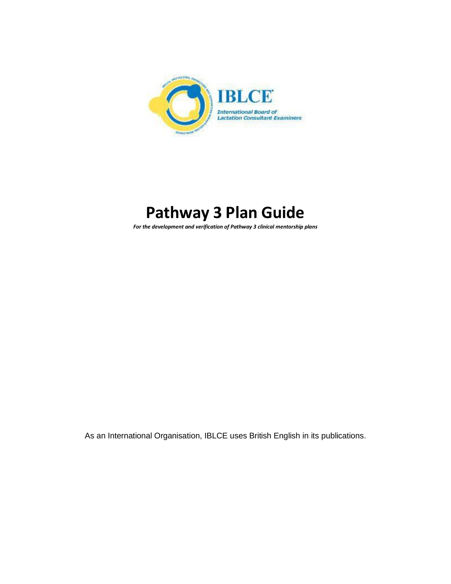

# **Pathway 3 Plan Guide**

*For the development and verification of Pathway 3 clinical mentorship plans*

As an International Organisation, IBLCE uses British English in its publications.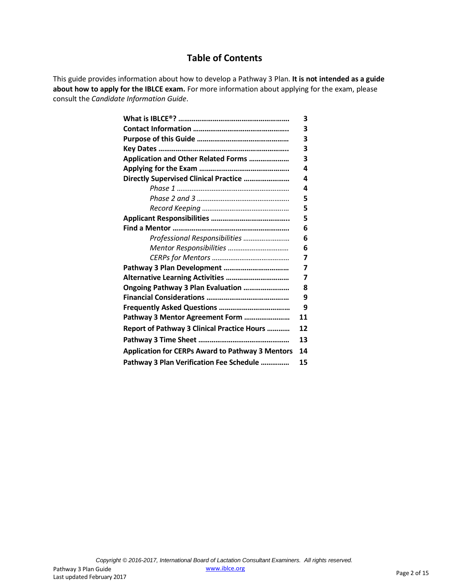#### **Table of Contents**

This guide provides information about how to develop a Pathway 3 Plan. **It is not intended as a guide about how to apply for the IBLCE exam.** For more information about applying for the exam, please consult the *Candidate Information Guide*.

|                                                         | 3  |
|---------------------------------------------------------|----|
|                                                         | 3  |
|                                                         | 3  |
|                                                         | 3  |
| Application and Other Related Forms                     | 3  |
|                                                         | 4  |
| Directly Supervised Clinical Practice                   | 4  |
|                                                         | 4  |
|                                                         | 5  |
|                                                         | 5  |
|                                                         | 5  |
|                                                         | 6  |
| Professional Responsibilities                           | 6  |
| Mentor Responsibilities                                 | 6  |
|                                                         | 7  |
| Pathway 3 Plan Development                              | 7  |
|                                                         | 7  |
| Ongoing Pathway 3 Plan Evaluation                       | 8  |
|                                                         | 9  |
|                                                         | 9  |
| Pathway 3 Mentor Agreement Form                         | 11 |
| Report of Pathway 3 Clinical Practice Hours             | 12 |
|                                                         | 13 |
| <b>Application for CERPs Award to Pathway 3 Mentors</b> | 14 |
| Pathway 3 Plan Verification Fee Schedule                | 15 |
|                                                         |    |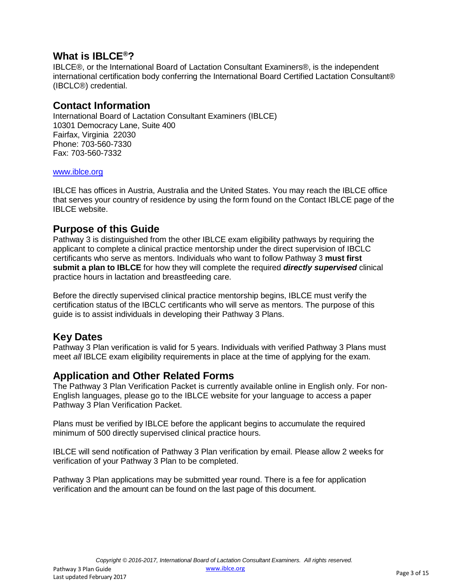## **What is IBLCE ®?**

IBLCE®, or the International Board of Lactation Consultant Examiners®, is the independent international certification body conferring the International Board Certified Lactation Consultant® (IBCLC®) credential.

#### **Contact Information**

International Board of Lactation Consultant Examiners (IBLCE) 10301 Democracy Lane, Suite 400 Fairfax, Virginia 22030 Phone: 703-560-7330 Fax: 703-560-7332

#### [www.iblce.org](http://www.iblce.org/)

IBLCE has offices in Austria, Australia and the United States. You may reach the IBLCE office that serves your country of residence by using the form found on the Contact IBLCE page of the IBLCE website.

#### **Purpose of this Guide**

Pathway 3 is distinguished from the other IBLCE exam eligibility pathways by requiring the applicant to complete a clinical practice mentorship under the direct supervision of IBCLC certificants who serve as mentors. Individuals who want to follow Pathway 3 **must first submit a plan to IBLCE** for how they will complete the required *directly supervised* clinical practice hours in lactation and breastfeeding care.

Before the directly supervised clinical practice mentorship begins, IBLCE must verify the certification status of the IBCLC certificants who will serve as mentors. The purpose of this guide is to assist individuals in developing their Pathway 3 Plans.

## **Key Dates**

Pathway 3 Plan verification is valid for 5 years. Individuals with verified Pathway 3 Plans must meet *all* IBLCE exam eligibility requirements in place at the time of applying for the exam.

#### **Application and Other Related Forms**

The Pathway 3 Plan Verification Packet is currently available online in English only. For non-English languages, please go to the IBLCE website for your language to access a paper Pathway 3 Plan Verification Packet.

Plans must be verified by IBLCE before the applicant begins to accumulate the required minimum of 500 directly supervised clinical practice hours.

IBLCE will send notification of Pathway 3 Plan verification by email. Please allow 2 weeks for verification of your Pathway 3 Plan to be completed.

Pathway 3 Plan applications may be submitted year round. There is a fee for application verification and the amount can be found on the last page of this document.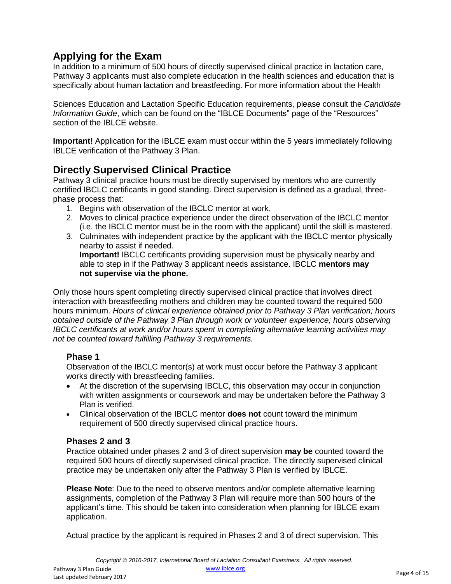# **Applying for the Exam**

In addition to a minimum of 500 hours of directly supervised clinical practice in lactation care, Pathway 3 applicants must also complete education in the health sciences and education that is specifically about human lactation and breastfeeding. For more information about the Health

Sciences Education and Lactation Specific Education requirements, please consult the *Candidate Information Guide*, which can be found on the "IBLCE Documents" page of the "Resources" section of the IBLCE website.

**Important!** Application for the IBLCE exam must occur within the 5 years immediately following IBLCE verification of the Pathway 3 Plan.

## **Directly Supervised Clinical Practice**

Pathway 3 clinical practice hours must be directly supervised by mentors who are currently certified IBCLC certificants in good standing. Direct supervision is defined as a gradual, threephase process that:

- 1. Begins with observation of the IBCLC mentor at work.
- 2. Moves to clinical practice experience under the direct observation of the IBCLC mentor (i.e. the IBCLC mentor must be in the room with the applicant) until the skill is mastered.
- 3. Culminates with independent practice by the applicant with the IBCLC mentor physically nearby to assist if needed.

**Important!** IBCLC certificants providing supervision must be physically nearby and able to step in if the Pathway 3 applicant needs assistance. IBCLC **mentors may not supervise via the phone.**

Only those hours spent completing directly supervised clinical practice that involves direct interaction with breastfeeding mothers and children may be counted toward the required 500 hours minimum. *Hours of clinical experience obtained prior to Pathway 3 Plan verification; hours obtained outside of the Pathway 3 Plan through work or volunteer experience; hours observing IBCLC certificants at work and/or hours spent in completing alternative learning activities may not be counted toward fulfilling Pathway 3 requirements.*

#### **Phase 1**

Observation of the IBCLC mentor(s) at work must occur before the Pathway 3 applicant works directly with breastfeeding families.

- At the discretion of the supervising IBCLC, this observation may occur in conjunction with written assignments or coursework and may be undertaken before the Pathway 3 Plan is verified.
- Clinical observation of the IBCLC mentor **does not** count toward the minimum requirement of 500 directly supervised clinical practice hours.

#### **Phases 2 and 3**

Practice obtained under phases 2 and 3 of direct supervision **may be** counted toward the required 500 hours of directly supervised clinical practice. The directly supervised clinical practice may be undertaken only after the Pathway 3 Plan is verified by IBLCE.

**Please Note**: Due to the need to observe mentors and/or complete alternative learning assignments, completion of the Pathway 3 Plan will require more than 500 hours of the applicant's time. This should be taken into consideration when planning for IBLCE exam application.

Actual practice by the applicant is required in Phases 2 and 3 of direct supervision. This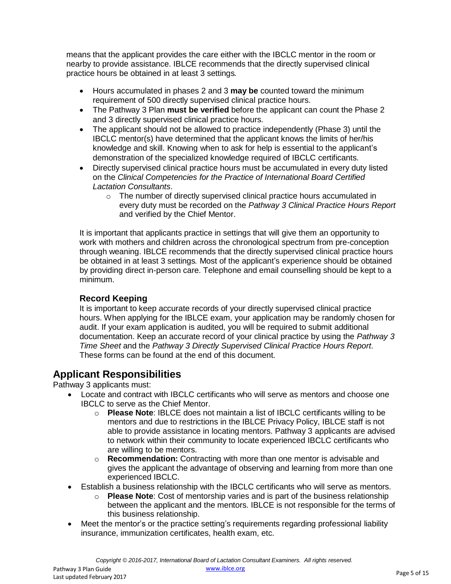means that the applicant provides the care either with the IBCLC mentor in the room or nearby to provide assistance. IBLCE recommends that the directly supervised clinical practice hours be obtained in at least 3 settings*.*

- Hours accumulated in phases 2 and 3 **may be** counted toward the minimum requirement of 500 directly supervised clinical practice hours.
- The Pathway 3 Plan **must be verified** before the applicant can count the Phase 2 and 3 directly supervised clinical practice hours.
- The applicant should not be allowed to practice independently (Phase 3) until the IBCLC mentor(s) have determined that the applicant knows the limits of her/his knowledge and skill. Knowing when to ask for help is essential to the applicant's demonstration of the specialized knowledge required of IBCLC certificants.
- Directly supervised clinical practice hours must be accumulated in every duty listed on the *Clinical Competencies for the Practice of International Board Certified Lactation Consultants*.
	- o The number of directly supervised clinical practice hours accumulated in every duty must be recorded on the *Pathway 3 Clinical Practice Hours Report*  and verified by the Chief Mentor.

It is important that applicants practice in settings that will give them an opportunity to work with mothers and children across the chronological spectrum from pre-conception through weaning. IBLCE recommends that the directly supervised clinical practice hours be obtained in at least 3 settings*.* Most of the applicant's experience should be obtained by providing direct in-person care. Telephone and email counselling should be kept to a minimum.

#### **Record Keeping**

It is important to keep accurate records of your directly supervised clinical practice hours. When applying for the IBLCE exam, your application may be randomly chosen for audit. If your exam application is audited, you will be required to submit additional documentation. Keep an accurate record of your clinical practice by using the *Pathway 3 Time Sheet* and the *Pathway 3 Directly Supervised Clinical Practice Hours Report*. These forms can be found at the end of this document.

#### **Applicant Responsibilities**

Pathway 3 applicants must:

- Locate and contract with IBCLC certificants who will serve as mentors and choose one IBCLC to serve as the Chief Mentor.
	- o **Please Note**: IBLCE does not maintain a list of IBCLC certificants willing to be mentors and due to restrictions in the IBLCE Privacy Policy, IBLCE staff is not able to provide assistance in locating mentors. Pathway 3 applicants are advised to network within their community to locate experienced IBCLC certificants who are willing to be mentors.
	- o **Recommendation:** Contracting with more than one mentor is advisable and gives the applicant the advantage of observing and learning from more than one experienced IBCLC.
- Establish a business relationship with the IBCLC certificants who will serve as mentors.
	- o **Please Note**: Cost of mentorship varies and is part of the business relationship between the applicant and the mentors. IBLCE is not responsible for the terms of this business relationship.
- Meet the mentor's or the practice setting's requirements regarding professional liability insurance, immunization certificates, health exam, etc.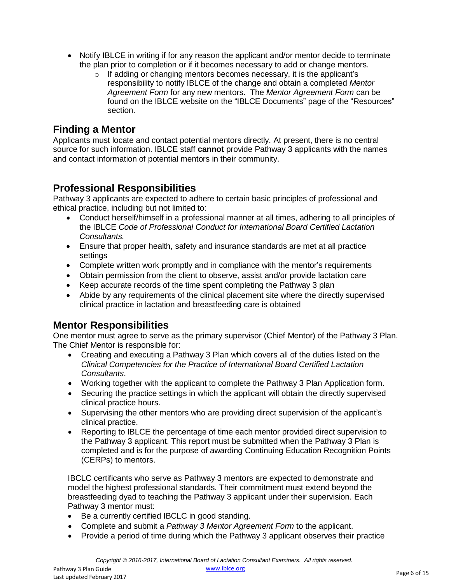- Notify IBLCE in writing if for any reason the applicant and/or mentor decide to terminate the plan prior to completion or if it becomes necessary to add or change mentors.
	- $\circ$  If adding or changing mentors becomes necessary, it is the applicant's responsibility to notify IBLCE of the change and obtain a completed *Mentor Agreement Form* for any new mentors. The *Mentor Agreement Form* can be found on the IBLCE website on the "IBLCE Documents" page of the "Resources" section.

#### **Finding a Mentor**

Applicants must locate and contact potential mentors directly. At present, there is no central source for such information. IBLCE staff **cannot** provide Pathway 3 applicants with the names and contact information of potential mentors in their community.

## **Professional Responsibilities**

Pathway 3 applicants are expected to adhere to certain basic principles of professional and ethical practice, including but not limited to:

- Conduct herself/himself in a professional manner at all times, adhering to all principles of the IBLCE *Code of Professional Conduct for International Board Certified Lactation Consultants.*
- Ensure that proper health, safety and insurance standards are met at all practice settings
- Complete written work promptly and in compliance with the mentor's requirements
- Obtain permission from the client to observe, assist and/or provide lactation care
- Keep accurate records of the time spent completing the Pathway 3 plan
- Abide by any requirements of the clinical placement site where the directly supervised clinical practice in lactation and breastfeeding care is obtained

## **Mentor Responsibilities**

One mentor must agree to serve as the primary supervisor (Chief Mentor) of the Pathway 3 Plan. The Chief Mentor is responsible for:

- Creating and executing a Pathway 3 Plan which covers all of the duties listed on the *Clinical Competencies for the Practice of International Board Certified Lactation Consultants*.
- Working together with the applicant to complete the Pathway 3 Plan Application form.
- Securing the practice settings in which the applicant will obtain the directly supervised clinical practice hours.
- Supervising the other mentors who are providing direct supervision of the applicant's clinical practice.
- Reporting to IBLCE the percentage of time each mentor provided direct supervision to the Pathway 3 applicant. This report must be submitted when the Pathway 3 Plan is completed and is for the purpose of awarding Continuing Education Recognition Points (CERPs) to mentors.

IBCLC certificants who serve as Pathway 3 mentors are expected to demonstrate and model the highest professional standards. Their commitment must extend beyond the breastfeeding dyad to teaching the Pathway 3 applicant under their supervision. Each Pathway 3 mentor must:

- Be a currently certified IBCLC in good standing.
- Complete and submit a *Pathway 3 Mentor Agreement Form* to the applicant.
- Provide a period of time during which the Pathway 3 applicant observes their practice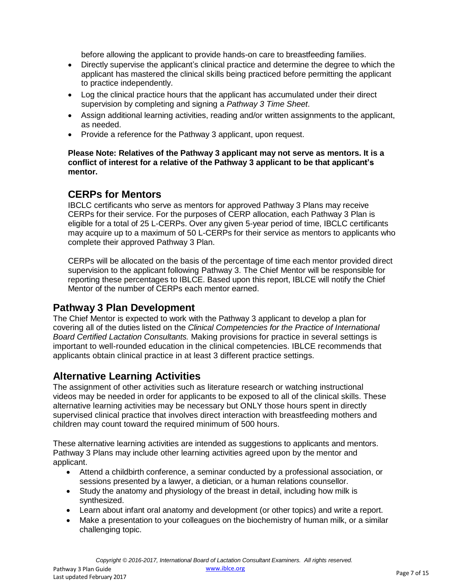before allowing the applicant to provide hands-on care to breastfeeding families.

- Directly supervise the applicant's clinical practice and determine the degree to which the applicant has mastered the clinical skills being practiced before permitting the applicant to practice independently.
- Log the clinical practice hours that the applicant has accumulated under their direct supervision by completing and signing a *Pathway 3 Time Sheet*.
- Assign additional learning activities, reading and/or written assignments to the applicant, as needed.
- Provide a reference for the Pathway 3 applicant, upon request.

**Please Note: Relatives of the Pathway 3 applicant may not serve as mentors. It is a conflict of interest for a relative of the Pathway 3 applicant to be that applicant's mentor.**

#### **CERPs for Mentors**

IBCLC certificants who serve as mentors for approved Pathway 3 Plans may receive CERPs for their service. For the purposes of CERP allocation, each Pathway 3 Plan is eligible for a total of 25 L-CERPs. Over any given 5-year period of time, IBCLC certificants may acquire up to a maximum of 50 L-CERPs for their service as mentors to applicants who complete their approved Pathway 3 Plan.

CERPs will be allocated on the basis of the percentage of time each mentor provided direct supervision to the applicant following Pathway 3. The Chief Mentor will be responsible for reporting these percentages to IBLCE. Based upon this report, IBLCE will notify the Chief Mentor of the number of CERPs each mentor earned.

#### **Pathway 3 Plan Development**

The Chief Mentor is expected to work with the Pathway 3 applicant to develop a plan for covering all of the duties listed on the *Clinical Competencies for the Practice of International Board Certified Lactation Consultants.* Making provisions for practice in several settings is important to well-rounded education in the clinical competencies. IBLCE recommends that applicants obtain clinical practice in at least 3 different practice settings.

## **Alternative Learning Activities**

The assignment of other activities such as literature research or watching instructional videos may be needed in order for applicants to be exposed to all of the clinical skills. These alternative learning activities may be necessary but ONLY those hours spent in directly supervised clinical practice that involves direct interaction with breastfeeding mothers and children may count toward the required minimum of 500 hours.

These alternative learning activities are intended as suggestions to applicants and mentors. Pathway 3 Plans may include other learning activities agreed upon by the mentor and applicant.

- Attend a childbirth conference, a seminar conducted by a professional association, or sessions presented by a lawyer, a dietician, or a human relations counsellor.
- Study the anatomy and physiology of the breast in detail, including how milk is synthesized.
- Learn about infant oral anatomy and development (or other topics) and write a report.
- Make a presentation to your colleagues on the biochemistry of human milk, or a similar challenging topic.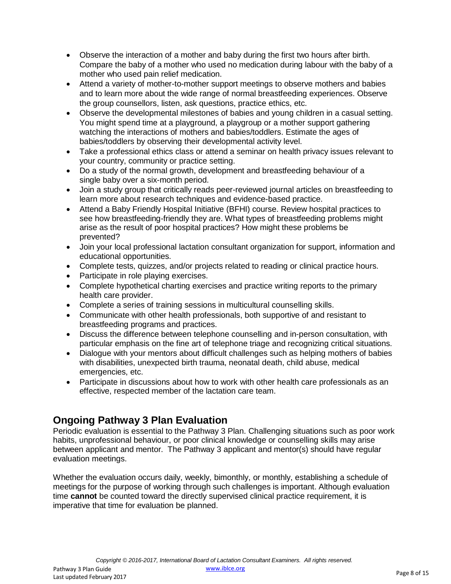- Observe the interaction of a mother and baby during the first two hours after birth. Compare the baby of a mother who used no medication during labour with the baby of a mother who used pain relief medication.
- Attend a variety of mother-to-mother support meetings to observe mothers and babies and to learn more about the wide range of normal breastfeeding experiences. Observe the group counsellors, listen, ask questions, practice ethics, etc.
- Observe the developmental milestones of babies and young children in a casual setting. You might spend time at a playground, a playgroup or a mother support gathering watching the interactions of mothers and babies/toddlers. Estimate the ages of babies/toddlers by observing their developmental activity level.
- Take a professional ethics class or attend a seminar on health privacy issues relevant to your country, community or practice setting.
- Do a study of the normal growth, development and breastfeeding behaviour of a single baby over a six-month period.
- Join a study group that critically reads peer-reviewed journal articles on breastfeeding to learn more about research techniques and evidence-based practice.
- Attend a Baby Friendly Hospital Initiative (BFHI) course. Review hospital practices to see how breastfeeding-friendly they are. What types of breastfeeding problems might arise as the result of poor hospital practices? How might these problems be prevented?
- Join your local professional lactation consultant organization for support, information and educational opportunities.
- Complete tests, quizzes, and/or projects related to reading or clinical practice hours.
- Participate in role playing exercises.
- Complete hypothetical charting exercises and practice writing reports to the primary health care provider.
- Complete a series of training sessions in multicultural counselling skills.
- Communicate with other health professionals, both supportive of and resistant to breastfeeding programs and practices.
- Discuss the difference between telephone counselling and in-person consultation, with particular emphasis on the fine art of telephone triage and recognizing critical situations.
- Dialogue with your mentors about difficult challenges such as helping mothers of babies with disabilities, unexpected birth trauma, neonatal death, child abuse, medical emergencies, etc.
- Participate in discussions about how to work with other health care professionals as an effective, respected member of the lactation care team.

## **Ongoing Pathway 3 Plan Evaluation**

Periodic evaluation is essential to the Pathway 3 Plan. Challenging situations such as poor work habits, unprofessional behaviour, or poor clinical knowledge or counselling skills may arise between applicant and mentor. The Pathway 3 applicant and mentor(s) should have regular evaluation meetings.

Whether the evaluation occurs daily, weekly, bimonthly, or monthly, establishing a schedule of meetings for the purpose of working through such challenges is important. Although evaluation time **cannot** be counted toward the directly supervised clinical practice requirement, it is imperative that time for evaluation be planned.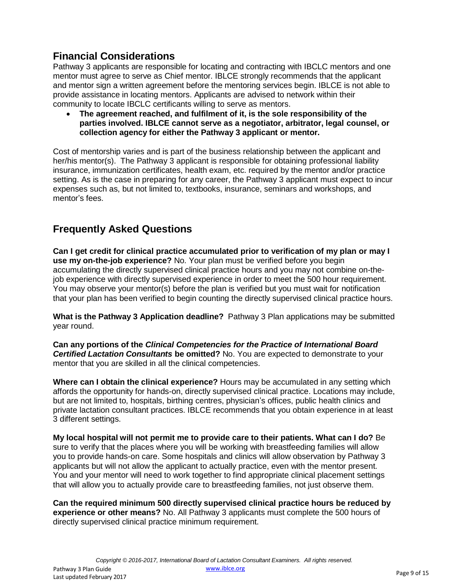## **Financial Considerations**

Pathway 3 applicants are responsible for locating and contracting with IBCLC mentors and one mentor must agree to serve as Chief mentor. IBLCE strongly recommends that the applicant and mentor sign a written agreement before the mentoring services begin. IBLCE is not able to provide assistance in locating mentors. Applicants are advised to network within their community to locate IBCLC certificants willing to serve as mentors.

 **The agreement reached, and fulfilment of it, is the sole responsibility of the parties involved. IBLCE cannot serve as a negotiator, arbitrator, legal counsel, or collection agency for either the Pathway 3 applicant or mentor.**

Cost of mentorship varies and is part of the business relationship between the applicant and her/his mentor(s). The Pathway 3 applicant is responsible for obtaining professional liability insurance, immunization certificates, health exam, etc. required by the mentor and/or practice setting. As is the case in preparing for any career, the Pathway 3 applicant must expect to incur expenses such as, but not limited to, textbooks, insurance, seminars and workshops, and mentor's fees.

## **Frequently Asked Questions**

**Can I get credit for clinical practice accumulated prior to verification of my plan or may I use my on-the-job experience?** No. Your plan must be verified before you begin accumulating the directly supervised clinical practice hours and you may not combine on-thejob experience with directly supervised experience in order to meet the 500 hour requirement. You may observe your mentor(s) before the plan is verified but you must wait for notification that your plan has been verified to begin counting the directly supervised clinical practice hours.

**What is the Pathway 3 Application deadline?** Pathway 3 Plan applications may be submitted year round.

**Can any portions of the** *Clinical Competencies for the Practice of International Board Certified Lactation Consultants* **be omitted?** No. You are expected to demonstrate to your mentor that you are skilled in all the clinical competencies.

**Where can I obtain the clinical experience?** Hours may be accumulated in any setting which affords the opportunity for hands-on, directly supervised clinical practice. Locations may include, but are not limited to, hospitals, birthing centres, physician's offices, public health clinics and private lactation consultant practices. IBLCE recommends that you obtain experience in at least 3 different settings.

**My local hospital will not permit me to provide care to their patients. What can I do?** Be sure to verify that the places where you will be working with breastfeeding families will allow you to provide hands-on care. Some hospitals and clinics will allow observation by Pathway 3 applicants but will not allow the applicant to actually practice, even with the mentor present. You and your mentor will need to work together to find appropriate clinical placement settings that will allow you to actually provide care to breastfeeding families, not just observe them.

**Can the required minimum 500 directly supervised clinical practice hours be reduced by experience or other means?** No. All Pathway 3 applicants must complete the 500 hours of directly supervised clinical practice minimum requirement.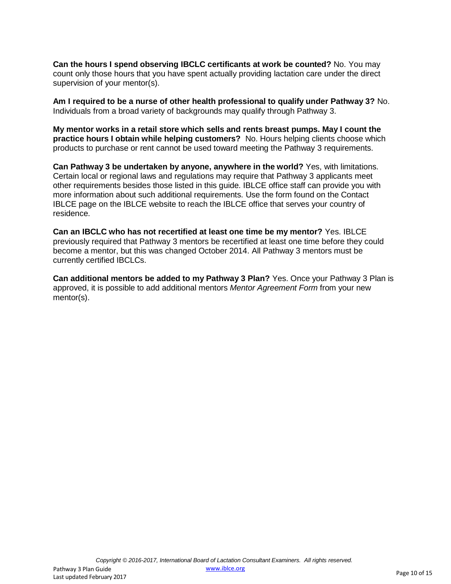**Can the hours I spend observing IBCLC certificants at work be counted?** No. You may count only those hours that you have spent actually providing lactation care under the direct supervision of your mentor(s).

**Am I required to be a nurse of other health professional to qualify under Pathway 3?** No. Individuals from a broad variety of backgrounds may qualify through Pathway 3.

**My mentor works in a retail store which sells and rents breast pumps. May I count the practice hours I obtain while helping customers?** No. Hours helping clients choose which products to purchase or rent cannot be used toward meeting the Pathway 3 requirements.

**Can Pathway 3 be undertaken by anyone, anywhere in the world?** Yes, with limitations. Certain local or regional laws and regulations may require that Pathway 3 applicants meet other requirements besides those listed in this guide. IBLCE office staff can provide you with more information about such additional requirements. Use the form found on the Contact IBLCE page on the IBLCE website to reach the IBLCE office that serves your country of residence.

**Can an IBCLC who has not recertified at least one time be my mentor?** Yes. IBLCE previously required that Pathway 3 mentors be recertified at least one time before they could become a mentor, but this was changed October 2014. All Pathway 3 mentors must be currently certified IBCLCs.

**Can additional mentors be added to my Pathway 3 Plan?** Yes. Once your Pathway 3 Plan is approved, it is possible to add additional mentors *Mentor Agreement Form* from your new mentor(s).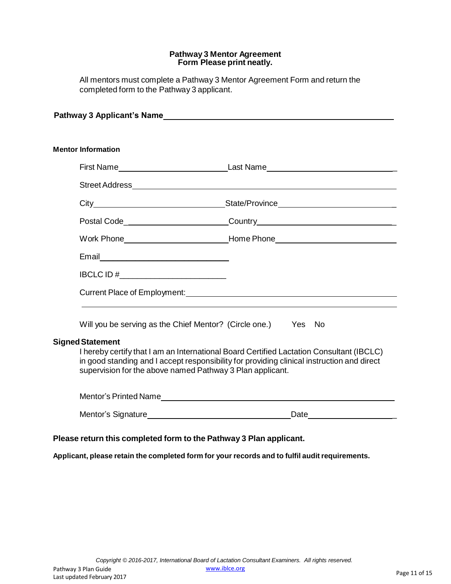#### **Pathway 3 Mentor Agreement Form Please print neatly.**

All mentors must complete a Pathway 3 Mentor Agreement Form and return the completed form to the Pathway 3 applicant.

| Pathway 3 Applicant's Name that the control of the control of the control of the control of the control of the                                                                        |                                                                                                                                                                                        |
|---------------------------------------------------------------------------------------------------------------------------------------------------------------------------------------|----------------------------------------------------------------------------------------------------------------------------------------------------------------------------------------|
|                                                                                                                                                                                       |                                                                                                                                                                                        |
| <b>Mentor Information</b>                                                                                                                                                             |                                                                                                                                                                                        |
|                                                                                                                                                                                       |                                                                                                                                                                                        |
|                                                                                                                                                                                       |                                                                                                                                                                                        |
|                                                                                                                                                                                       |                                                                                                                                                                                        |
|                                                                                                                                                                                       | Postal Code____________________________Country__________________________________                                                                                                       |
|                                                                                                                                                                                       | Work Phone___________________________________Home Phone_________________________                                                                                                       |
|                                                                                                                                                                                       |                                                                                                                                                                                        |
| IBCLC ID #_________________________                                                                                                                                                   |                                                                                                                                                                                        |
|                                                                                                                                                                                       |                                                                                                                                                                                        |
| Will you be serving as the Chief Mentor? (Circle one.) Yes No                                                                                                                         |                                                                                                                                                                                        |
| <b>Signed Statement</b><br>supervision for the above named Pathway 3 Plan applicant.                                                                                                  | I hereby certify that I am an International Board Certified Lactation Consultant (IBCLC)<br>in good standing and I accept responsibility for providing clinical instruction and direct |
|                                                                                                                                                                                       |                                                                                                                                                                                        |
|                                                                                                                                                                                       |                                                                                                                                                                                        |
| $\mathcal{L}$ and $\mathcal{L}$ are the set of $\mathcal{L}$ and $\mathcal{L}$ are the set of $\mathcal{L}$ . The set of $\mathcal{L}$ and $\mathcal{L}$ are the set of $\mathcal{L}$ |                                                                                                                                                                                        |

#### **Please return this completed form to the Pathway 3 Plan applicant.**

**Applicant, please retain the completed form for your records and to fulfil audit requirements.**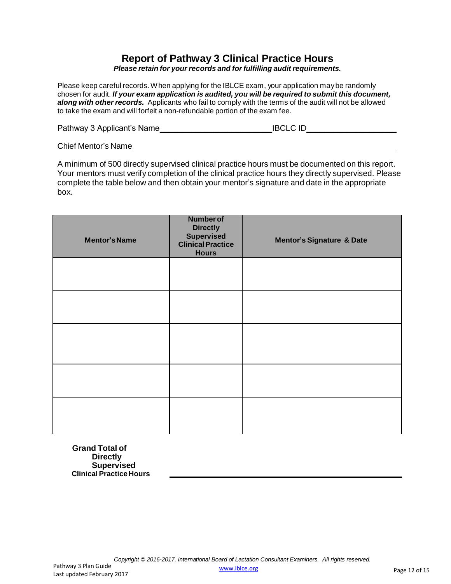## **Report of Pathway 3 Clinical Practice Hours**

*Please retain for your records and forfulfilling audit requirements.*

Please keep careful records. When applying for the IBLCE exam, your application may be randomly chosen for audit. *If your exam application is audited, you will be required to submit this document, along with other records.* Applicants who fail to comply with the terms of the audit will not be allowed to take the exam and will forfeit a non-refundable portion of the exam fee.

| Pathway 3 Applicant's Name_ | <b>IBCLC ID</b> |  |
|-----------------------------|-----------------|--|
|                             |                 |  |

Chief Mentor's Name

A minimum of 500 directly supervised clinical practice hours must be documented on this report. Your mentors must verify completion of the clinical practice hours they directly supervised. Please complete the table below and then obtain your mentor's signature and date in the appropriate box.

| <b>Mentor's Name</b> | <b>Number of</b><br><b>Directly</b><br>Supervised<br><b>Clinical Practice</b><br><b>Hours</b> | <b>Mentor's Signature &amp; Date</b> |
|----------------------|-----------------------------------------------------------------------------------------------|--------------------------------------|
|                      |                                                                                               |                                      |
|                      |                                                                                               |                                      |
|                      |                                                                                               |                                      |
|                      |                                                                                               |                                      |
|                      |                                                                                               |                                      |

**Grand Total of Directly Supervised Clinical Practice Hours**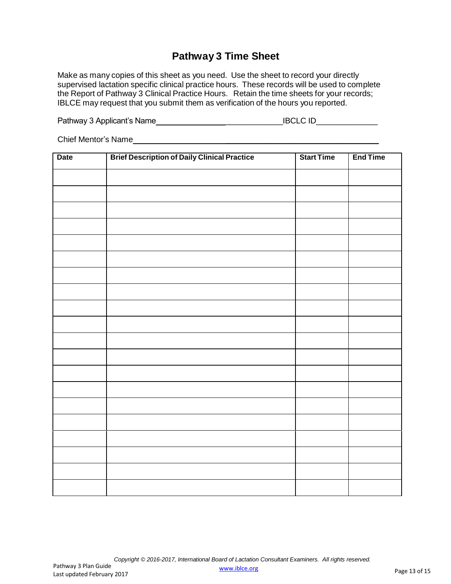## **Pathway 3 Time Sheet**

Make as many copies of this sheet as you need. Use the sheet to record your directly supervised lactation specific clinical practice hours. These records will be used to complete the Report of Pathway 3 Clinical Practice Hours. Retain the time sheets for your records; IBLCE may request that you submit them as verification of the hours you reported.

Pathway 3 Applicant's Name \_\_\_\_\_\_\_\_\_\_\_\_\_IBCLC ID\_\_\_\_\_\_\_\_\_\_\_\_\_\_

Chief Mentor's Name **And The Chief Mentor's Name** 

| <b>Date</b> | <b>Brief Description of Daily Clinical Practice</b> | <b>Start Time</b> | <b>End Time</b> |
|-------------|-----------------------------------------------------|-------------------|-----------------|
|             |                                                     |                   |                 |
|             |                                                     |                   |                 |
|             |                                                     |                   |                 |
|             |                                                     |                   |                 |
|             |                                                     |                   |                 |
|             |                                                     |                   |                 |
|             |                                                     |                   |                 |
|             |                                                     |                   |                 |
|             |                                                     |                   |                 |
|             |                                                     |                   |                 |
|             |                                                     |                   |                 |
|             |                                                     |                   |                 |
|             |                                                     |                   |                 |
|             |                                                     |                   |                 |
|             |                                                     |                   |                 |
|             |                                                     |                   |                 |
|             |                                                     |                   |                 |
|             |                                                     |                   |                 |
|             |                                                     |                   |                 |
|             |                                                     |                   |                 |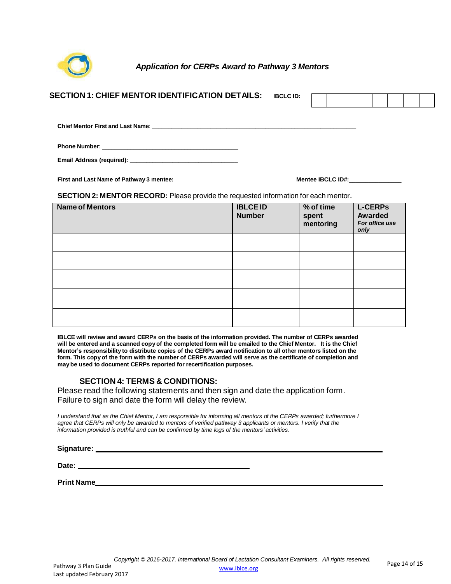

*Application for CERPs Award to Pathway 3 Mentors*

| <b>SECTION 1: CHIEF MENTOR IDENTIFICATION DETAILS:</b>                                     |                                  | <b>IBCLC ID:</b> |                                   |                                                     |
|--------------------------------------------------------------------------------------------|----------------------------------|------------------|-----------------------------------|-----------------------------------------------------|
|                                                                                            |                                  |                  |                                   |                                                     |
|                                                                                            |                                  |                  |                                   |                                                     |
|                                                                                            |                                  |                  |                                   |                                                     |
|                                                                                            |                                  |                  |                                   |                                                     |
| <b>SECTION 2: MENTOR RECORD:</b> Please provide the requested information for each mentor. |                                  |                  |                                   |                                                     |
| <b>Name of Mentors</b>                                                                     | <b>IBLCE ID</b><br><b>Number</b> |                  | $%$ of time<br>spent<br>mentoring | <b>L-CERPS</b><br>Awarded<br>For office use<br>only |
|                                                                                            |                                  |                  |                                   |                                                     |
|                                                                                            |                                  |                  |                                   |                                                     |
|                                                                                            |                                  |                  |                                   |                                                     |

**SECTION 4: TERMS & CONDITIONS:**

**may be used to document CERPs reported for recertification purposes.**

Please read the following statements and then sign and date the application form. Failure to sign and date the form will delay the review.

I understand that as the Chief Mentor, I am responsible for informing all mentors of the CERPs awarded; furthermore I agree that CERPs will only be awarded to mentors of verified pathway 3 applicants or mentors. I verify that the *information provided is truthful and can be confirmed by time logs of the mentors' activities.*

**IBLCE will review and award CERPs on the basis of the information provided. The number of CERPs awarded will be entered and a scanned copyof the completed form will be emailed to the Chief Mentor. It is the Chief Mentor's responsibility to distribute copies of the CERPs award notification to all other mentors listed on the form. This copyof the form with the number of CERPs awarded will serve as the certificate of completion and**

**Signature:**

**Date:** 

**Print Name**